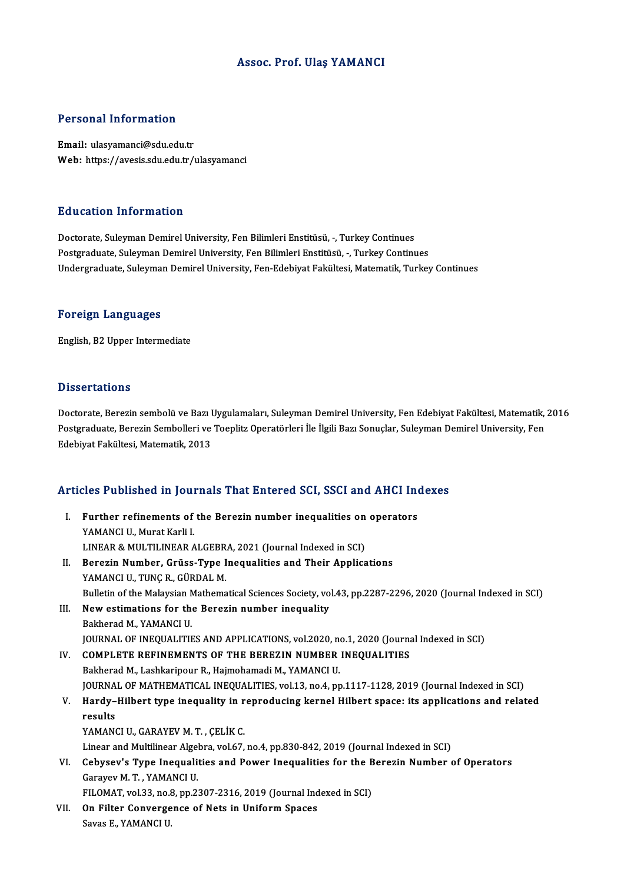### Assoc. Prof. Ulaş YAMANCI

#### Personal Information

Email: ulasyamanci@sdu.edu.tr Web: https://avesis.sdu.edu.tr/ulasyamanci

#### Education Information

Doctorate, Suleyman Demirel University, Fen Bilimleri Enstitüsü, -, Turkey Continues Postgraduate, Suleyman Demirel University, Fen Bilimleri Enstitüsü, -, Turkey Continues Undergraduate, Suleyman Demirel University, Fen-Edebiyat Fakültesi, Matematik, Turkey Continues

#### Foreign Languages

English,B2Upper Intermediate

#### **Dissertations**

Doctorate, Berezin sembolü ve Bazı Uygulamaları, Suleyman Demirel University, Fen Edebiyat Fakültesi, Matematik, 2016 D'issoof catronis<br>Doctorate, Berezin sembolü ve Bazı Uygulamaları, Suleyman Demirel University, Fen Edebiyat Fakültesi, Matematik,<br>Postgraduate, Berezin Sembolleri ve Toeplitz Operatörleri İle İlgili Bazı Sonuçlar, Suleyma Doctorate, Berezin sembolü ve Bazı l<br>Postgraduate, Berezin Sembolleri ve<br>Edebiyat Fakültesi, Matematik, 2013

# <sub>Edebiyat Fakultesi, Matemauk, 2013</sub><br>Articles Published in Journals That Entered SCI, SSCI and AHCI Indexes

rticles Published in Journals That Entered SCI, SSCI and AHCI Ine<br>I. Further refinements of the Berezin number inequalities on operators<br>XAMANCUL Murat Karli I The Press of The Basic Control II<br>Further refinements of<br>YAMANCIU., Murat Karli I. Further refinements of the Berezin number inequalities on<br>YAMANCI U., Murat Karli I.<br>LINEAR & MULTILINEAR ALGEBRA, 2021 (Journal Indexed in SCI)<br>Beregin Number, Crüss Tune Inequalities and Their Annlise YAMANCI U., Murat Karli I.<br>LINEAR & MULTILINEAR ALGEBRA, 2021 (Journal Indexed in SCI)<br>II. Berezin Number, Grüss-Type Inequalities and Their Applications<br>YAMANCLU, TUNG B. CÜBDAL M LINEAR & MULTILINEAR ALGEBR<br>Berezin Number, Grüss-Type I<br>YAMANCI U., TUNÇ R., GÜRDAL M.<br>Pullatin of the Malawian Mathema Berezin Number, Grüss-Type Inequalities and Their Applications<br>YAMANCI U., TUNÇ R., GÜRDAL M.<br>Bulletin of the Malaysian Mathematical Sciences Society, vol.43, pp.2287-2296, 2020 (Journal Indexed in SCI)<br>New estimations for YAMANCI U., TUNÇ R., GÜRDAL M.<br>Bulletin of the Malaysian Mathematical Sciences Society, vo<br>III. New estimations for the Berezin number inequality<br>Bakherad M., YAMANCI U. Bulletin of the Malaysian N<br>New estimations for the<br>Bakherad M., YAMANCI U.<br>JOUPNAL OF INFOUALITH JOURNAL OF INEQUALITIES AND APPLICATIONS, vol.2020, no.1, 2020 (Journal Indexed in SCI) IV. COMPLETE REFINEMENTS OF THE BEREZIN NUMBER INEQUALITIES Bakherad M., Lashkaripour R., Hajmohamadi M., YAMANCI U. JOURNAL OF MATHEMATICAL INEQUALITIES, vol.13, no.4, pp.1117-1128, 2019 (Journal Indexed in SCI) Bakherad M., Lashkaripour R., Hajmohamadi M., YAMANCI U.<br>JOURNAL OF MATHEMATICAL INEQUALITIES, vol.13, no.4, pp.1117-1128, 2019 (Journal Indexed in SCI)<br>V. Hardy–Hilbert type inequality in reproducing kernel Hilbert sp JOURNA<br><mark>Hardy–</mark><br>results<br><sup>VAMANG</sup> Hardy–Hilbert type inequality in r<br>results<br>YAMANCI U., GARAYEV M. T. , ÇELİK C.<br>Linear and Multilinear Algebre vel 67 results<br>YAMANCI U., GARAYEV M. T. , ÇELİK C.<br>Linear and Multilinear Algebra, vol.67, no.4, pp.830-842, 2019 (Journal Indexed in SCI) YAMANCI U., GARAYEV M. T. , ÇELİK C.<br>Linear and Multilinear Algebra, vol.67, no.4, pp.830-842, 2019 (Journal Indexed in SCI)<br>VI. Cebysev's Type Inequalities and Power Inequalities for the Berezin Number of Operators<br>Co Linear and Multilinear Algel<br>Cebysev's Type Inequali<br>Garayev M. T. , YAMANCI U.<br>EU OMAT vol 33, no 9, nn 3. Cebysev's Type Inequalities and Power Inequalities for the B<br>Garayev M. T. , YAMANCI U.<br>FILOMAT, vol.33, no.8, pp.2307-2316, 2019 (Journal Indexed in SCI)<br>On Eilter Convensence of Nets in Uniform Spaces. Garayev M. T. , YAMANCI U.<br>FILOMAT, vol.33, no.8, pp.2307-2316, 2019 (Journal Ind<br>VII. On Filter Convergence of Nets in Uniform Spaces<br>Sayse E. VAMANCLU FILOMAT, vol.33, no.8<br><mark>On Filter Converge</mark><br>Savas E., YAMANCI U.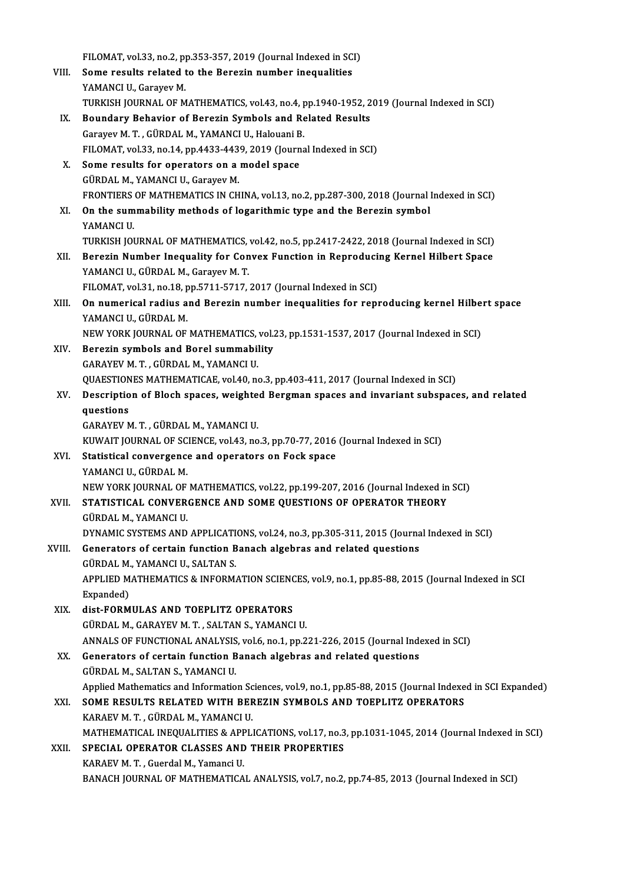FILOMAT, vol.33, no.2, pp.353-357, 2019 (Journal Indexed in SCI)<br>Some results related to the Beregin number inequalities VIII. Some results related to the Berezin number inequalities<br>YAMANCI U., Garayev M. FILOMAT, vol.33, no.2, p<sub>l</sub><br>Some results related t<br>YAMANCI U., Garayev M.<br>TURKISH JOURNAL OF M TURKISH JOURNAL OF MATHEMATICS, vol.43, no.4, pp.1940-1952, 2019 (Journal Indexed in SCI) IX. Boundary Behavior of Berezin Symbols and Related Results TURKISH JOURNAL OF MATHEMATICS, vol.43, no.4, p<br>Boundary Behavior of Berezin Symbols and Re<br>Garayev M. T. , GÜRDAL M., YAMANCI U., Halouani B.<br>EU OMAT Vol.33, no.14, np.4433, 4439, 3019 (Journe Boundary Behavior of Berezin Symbols and Related Results<br>Garayev M. T. , GÜRDAL M., YAMANCI U., Halouani B.<br>FILOMAT, vol.33, no.14, pp.4433-4439, 2019 (Journal Indexed in SCI)<br>Some results for onerators on a model space. Garayev M. T., GÜRDAL M., YAMANCI U., Halouani B<br>FILOMAT, vol.33, no.14, pp.4433-4439, 2019 (Journ<br>X. Some results for operators on a model space<br>CÜRDAL M. VAMANCUL Carayay M FILOMAT, vol.33, no.14, pp.4433-443<br>Some results for operators on a<br>GÜRDAL M., YAMANCI U., Garayev M.<br>EPONTIERS OF MATHEMATICS IN CH Some results for operators on a model space<br>GÜRDAL M., YAMANCI U., Garayev M.<br>FRONTIERS OF MATHEMATICS IN CHINA, vol.13, no.2, pp.287-300, 2018 (Journal Indexed in SCI)<br>On the summability methods of logarithmis type and th GÜRDAL M., YAMANCI U., Garayev M.<br>FRONTIERS OF MATHEMATICS IN CHINA, vol.13, no.2, pp.287-300, 2018 (Journal I<br>XI. On the summability methods of logarithmic type and the Berezin symbol<br>YAMANCI U. FRONTIERS<br>**On the sum<br>YAMANCI U.**<br>TURKISH JOI TURKISH JOURNAL OF MATHEMATICS, vol.42, no.5, pp.2417-2422, 2018 (Journal Indexed in SCI) YAMANCI U.<br>TURKISH JOURNAL OF MATHEMATICS, vol.42, no.5, pp.2417-2422, 2018 (Journal Indexed in SCI)<br>XII. Berezin Number Inequality for Convex Function in Reproducing Kernel Hilbert Space<br>YAMANCLU, CÜPDAL M. Carayay M.T. TURKISH JOURNAL OF MATHEMATICS,<br>Berezin Number Inequality for Con<br>YAMANCI U., GÜRDAL M., Garayev M. T.<br>FU OMAT vol 31, po 18, pp 5711, 5717 Berezin Number Inequality for Convex Function in Reproduci<br>YAMANCI U., GÜRDAL M., Garayev M. T.<br>FILOMAT, vol.31, no.18, pp.5711-5717, 2017 (Journal Indexed in SCI)<br>On numerical radius and Berezin number inequalities for re YAMANCI U., GÜRDAL M., Garayev M. T.<br>FILOMAT, vol.31, no.18, pp.5711-5717, 2017 (Journal Indexed in SCI)<br>XIII. On numerical radius and Berezin number inequalities for reproducing kernel Hilbert space<br>YAMANCI U., GÜRDAL M. FILOMAT, vol.31, no.18, pp.5711-5717, 2017 (Journal Indexed in SCI) On numerical radius and Berezin number inequalities for reproducing kernel Hilbe:<br>YAMANCI U., GÜRDAL M.<br>NEW YORK JOURNAL OF MATHEMATICS, vol.23, pp.1531-1537, 2017 (Journal Indexed in SCI)<br>Berezin sumbels and Borel summebi XIV. Berezin symbols and Borel summability NEW YORK JOURNAL OF MATHEMATICS,<br>Berezin symbols and Borel summabil<br>GARAYEV M. T. , GÜRDAL M., YAMANCI U.<br>QUAESTIONES MATHEMATICAE vol 40, pa QUAESTIONES MATHEMATICAE, vol.40, no.3, pp.403-411, 2017 (Journal Indexed in SCI) GARAYEV M. T. , GÜRDAL M., YAMANCI U.<br>QUAESTIONES MATHEMATICAE, vol.40, no.3, pp.403-411, 2017 (Journal Indexed in SCI)<br>XV. Description of Bloch spaces, weighted Bergman spaces and invariant subspaces, and related<br>ques QUAESTION<br>Descriptio<br>questions<br>CARAVEVA Description of Bloch spaces, weighte<br>questions<br>GARAYEV M.T., GÜRDAL M., YAMANCI U.<br>KUWAIT JOURNAL OF SCIENCE vol.43, no questions<br>GARAYEV M. T. , GÜRDAL M., YAMANCI U.<br>KUWAIT JOURNAL OF SCIENCE, vol.43, no.3, pp.70-77, 2016 (Journal Indexed in SCI)<br>Statistical convensence and enerators on Foek space. GARAYEV M. T., GÜRDAL M., YAMANCI U.<br>KUWAIT JOURNAL OF SCIENCE, vol.43, no.3, pp.70-77, 2016<br>XVI. Statistical convergence and operators on Fock space<br>YAMANCI U., GÜRDAL M. KUWAIT JOURNAL OF SC<br>Statistical convergence<br>YAMANCI U., GÜRDAL M.<br>NEW YORK JOURNAL OF Statistical convergence and operators on Fock space<br>YAMANCI U., GÜRDAL M.<br>NEW YORK JOURNAL OF MATHEMATICS, vol.22, pp.199-207, 2016 (Journal Indexed in SCI)<br>STATISTICAL CONVERCENCE AND SOME QUESTIONS OF OPERATOR THEORY XVII. STATISTICAL CONVERGENCE AND SOME QUESTIONS OF OPERATOR THEORY<br>GÜRDAL M., YAMANCI U. NEW YORK JOURNAL OF<br>STATISTICAL CONVER<br>GÜRDAL M., YAMANCI U.<br>DYNAMIC SYSTEMS AND DYNAMIC SYSTEMS AND APPLICATIONS, vol.24, no.3, pp.305-311, 2015 (Journal Indexed in SCI) GÜRDAL M., YAMANCI U.<br>DYNAMIC SYSTEMS AND APPLICATIONS, vol.24, no.3, pp.305-311, 2015 (Journa<br>XVIII. Generators of certain function Banach algebras and related questions<br>CÜRDAL M. XAMANCUU SALTAN S DYNAMIC SYSTEMS AND APPLICATI<br>Generators of certain function B<br>GÜRDAL M., YAMANCI U., SALTAN S.<br>APPLIED MATHEMATICS & INFORM Generators of certain function Banach algebras and related questions<br>GÜRDAL M., YAMANCI U., SALTAN S.<br>APPLIED MATHEMATICS & INFORMATION SCIENCES, vol.9, no.1, pp.85-88, 2015 (Journal Indexed in SCI<br>Eynanded) GÜRDAL M.<br>APPLIED M.<br>Expanded)<br>dist FORM APPLIED MATHEMATICS & INFORMATION SCIENC<br>Expanded)<br>XIX. dist-FORMULAS AND TOEPLITZ OPERATORS<br>CÜBDALM CARAYEV M.T. SALTANS, XAMANCI Expanded)<br>XIX. dist-FORMULAS AND TOEPLITZ OPERATORS<br>GÜRDAL M., GARAYEV M. T. , SALTAN S., YAMANCI U. dist-FORMULAS AND TOEPLITZ OPERATORS<br>GÜRDAL M., GARAYEV M. T. , SALTAN S., YAMANCI U.<br>ANNALS OF FUNCTIONAL ANALYSIS, vol.6, no.1, pp.221-226, 2015 (Journal Indexed in SCI)<br>Congrators of cortain function Banash algebras and GÜRDAL M., GARAYEV M. T. , SALTAN S., YAMANCI U.<br>ANNALS OF FUNCTIONAL ANALYSIS, vol.6, no.1, pp.221-226, 2015 (Journal Index<br>XX. Generators of certain function Banach algebras and related questions<br>CÜPDAL M. SALTAN S. VAMA XX. Generators of certain function Banach algebras and related questions GÜRDAL M., SALTAN S., YAMANCI U. Generators of certain function Banach algebras and related questions<br>GÜRDAL M., SALTAN S., YAMANCI U.<br>Applied Mathematics and Information Sciences, vol.9, no.1, pp.85-88, 2015 (Journal Indexed in SCI Expanded)<br>SOME RESULTS GÜRDAL M., SALTAN S., YAMANCI U.<br>Applied Mathematics and Information Sciences, vol.9, no.1, pp.85-88, 2015 (Journal Indexe<br>XXI. SOME RESULTS RELATED WITH BEREZIN SYMBOLS AND TOEPLITZ OPERATORS Applied Mathematics and Information Sc<br>SOME RESULTS RELATED WITH BER<br>KARAEV M. T. , GÜRDAL M., YAMANCI U.<br>MATHEMATICAL INFOUALITIES & APPLI SOME RESULTS RELATED WITH BEREZIN SYMBOLS AND TOEPLITZ OPERATORS<br>KARAEV M. T. , GÜRDAL M., YAMANCI U.<br>MATHEMATICAL INEQUALITIES & APPLICATIONS, vol.17, no.3, pp.1031-1045, 2014 (Journal Indexed in SCI)<br>SPECIAL OPERATOR CLA KARAEV M. T., GÜRDAL M., YAMANCI U.<br>MATHEMATICAL INEQUALITIES & APPLICATIONS, vol.17, no.3<br>XXII. SPECIAL OPERATOR CLASSES AND THEIR PROPERTIES SPECIAL OPERATOR CLASSES AND THEIR PROPERTIES<br>KARAEV M. T., Guerdal M., Yamanci U. BANACH JOURNAL OF MATHEMATICAL ANALYSIS, vol.7, no.2, pp.74-85, 2013 (Journal Indexed in SCI)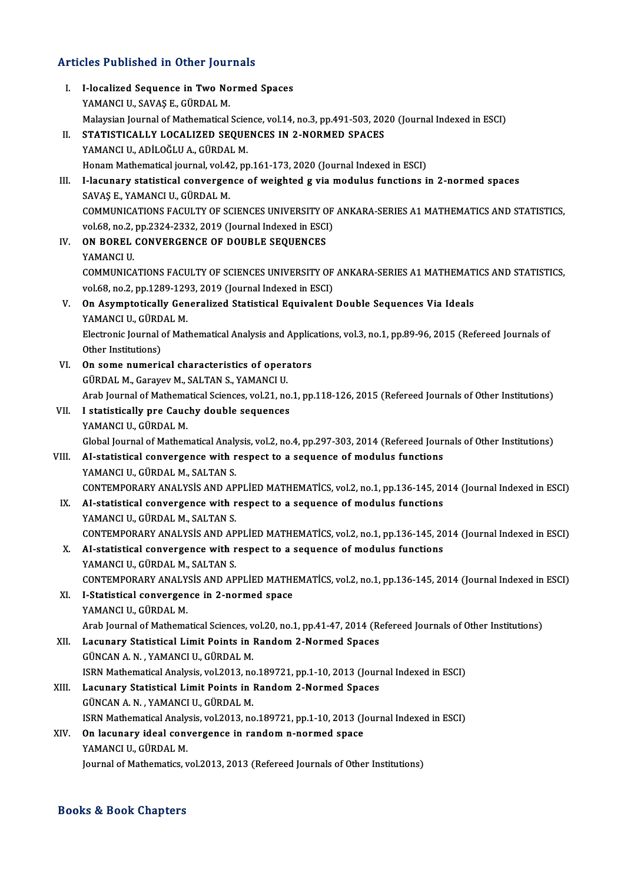# Articles Published in Other Journals

| <b>Articles Published in Other Journals</b> |                                                                                                                                                             |  |
|---------------------------------------------|-------------------------------------------------------------------------------------------------------------------------------------------------------------|--|
| L.                                          | I-localized Sequence in Two Normed Spaces<br>YAMANCI U., SAVAŞ E., GÜRDAL M.                                                                                |  |
|                                             | Malaysian Journal of Mathematical Science, vol.14, no.3, pp.491-503, 2020 (Journal Indexed in ESCI)                                                         |  |
| П.                                          | STATISTICALLY LOCALIZED SEQUENCES IN 2-NORMED SPACES                                                                                                        |  |
|                                             | YAMANCI U., ADİLOĞLU A., GÜRDAL M.                                                                                                                          |  |
|                                             | Honam Mathematical journal, vol.42, pp.161-173, 2020 (Journal Indexed in ESCI)                                                                              |  |
| Ш.                                          | I-lacunary statistical convergence of weighted g via modulus functions in 2-normed spaces<br>SAVAŞ E, YAMANCI U, GÜRDAL M.                                  |  |
|                                             | COMMUNICATIONS FACULTY OF SCIENCES UNIVERSITY OF ANKARA-SERIES A1 MATHEMATICS AND STATISTICS,<br>vol.68, no.2, pp.2324-2332, 2019 (Journal Indexed in ESCI) |  |
| IV.                                         | ON BOREL CONVERGENCE OF DOUBLE SEQUENCES                                                                                                                    |  |
|                                             | YAMANCI U.                                                                                                                                                  |  |
|                                             | COMMUNICATIONS FACULTY OF SCIENCES UNIVERSITY OF ANKARA-SERIES A1 MATHEMATICS AND STATISTICS,<br>vol.68, no.2, pp.1289-1293, 2019 (Journal Indexed in ESCI) |  |
| V.                                          | On Asymptotically Generalized Statistical Equivalent Double Sequences Via Ideals<br>YAMANCI U., GÜRDAL M.                                                   |  |
|                                             | Electronic Journal of Mathematical Analysis and Applications, vol.3, no.1, pp.89-96, 2015 (Refereed Journals of<br>Other Institutions)                      |  |
| VI.                                         | On some numerical characteristics of operators                                                                                                              |  |
|                                             | GÜRDAL M., Garayev M., SALTAN S., YAMANCI U.                                                                                                                |  |
|                                             | Arab Journal of Mathematical Sciences, vol.21, no.1, pp.118-126, 2015 (Refereed Journals of Other Institutions)                                             |  |
| VII.                                        | I statistically pre Cauchy double sequences                                                                                                                 |  |
|                                             | YAMANCI U., GÜRDAL M.                                                                                                                                       |  |
|                                             | Global Journal of Mathematical Analysis, vol.2, no.4, pp.297-303, 2014 (Refereed Journals of Other Institutions)                                            |  |
| VIII.                                       | AI-statistical convergence with respect to a sequence of modulus functions                                                                                  |  |
|                                             | YAMANCI U., GÜRDAL M., SALTAN S.                                                                                                                            |  |
|                                             | CONTEMPORARY ANALYSIS AND APPLIED MATHEMATICS, vol.2, no.1, pp.136-145, 2014 (Journal Indexed in ESCI)                                                      |  |
| IX.                                         | AI-statistical convergence with respect to a sequence of modulus functions<br>YAMANCI U., GÜRDAL M., SALTAN S.                                              |  |
|                                             | CONTEMPORARY ANALYSIS AND APPLIED MATHEMATICS, vol.2, no.1, pp.136-145, 2014 (Journal Indexed in ESCI)                                                      |  |
| X.                                          | AI-statistical convergence with respect to a sequence of modulus functions                                                                                  |  |
|                                             | YAMANCI U., GÜRDAL M., SALTAN S.                                                                                                                            |  |
|                                             | CONTEMPORARY ANALYSIS AND APPLIED MATHEMATICS, vol.2, no.1, pp.136-145, 2014 (Journal Indexed in ESCI)                                                      |  |
| XI.                                         | I-Statistical convergence in 2-normed space                                                                                                                 |  |
|                                             | YAMANCI U., GÜRDAL M.                                                                                                                                       |  |
|                                             | Arab Journal of Mathematical Sciences, vol.20, no.1, pp.41-47, 2014 (Refereed Journals of Other Institutions)                                               |  |
| XII.                                        | Lacunary Statistical Limit Points in Random 2-Normed Spaces                                                                                                 |  |
|                                             | GÜNCAN A. N., YAMANCI U., GÜRDAL M.                                                                                                                         |  |
|                                             | ISRN Mathematical Analysis, vol.2013, no.189721, pp.1-10, 2013 (Journal Indexed in ESCI)                                                                    |  |
| XIII.                                       | Lacunary Statistical Limit Points in Random 2-Normed Spaces                                                                                                 |  |
|                                             | GÜNCAN A. N., YAMANCI U., GÜRDAL M.                                                                                                                         |  |
|                                             | ISRN Mathematical Analysis, vol.2013, no.189721, pp.1-10, 2013 (Journal Indexed in ESCI)                                                                    |  |
| XIV.                                        | On lacunary ideal convergence in random n-normed space                                                                                                      |  |
|                                             | YAMANCI U., GÜRDAL M.                                                                                                                                       |  |
|                                             | Journal of Mathematics, vol.2013, 2013 (Refereed Journals of Other Institutions)                                                                            |  |

### Books&Book Chapters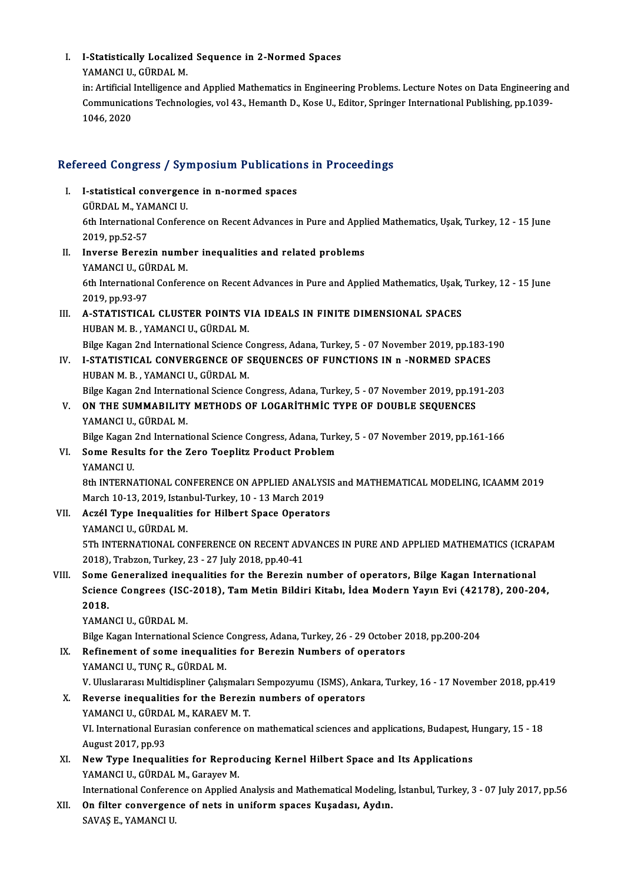## I. I-Statistically Localized Sequence in 2-Normed Spaces<br>XAMANCUL CÜRDAL M I-Statistically Localize<br>YAMANCI U., GÜRDAL M.<br>in: Artificial Intellizence a

YAMANCI U., GÜRDAL M.<br>in: Artificial Intelligence and Applied Mathematics in Engineering Problems. Lecture Notes on Data Engineering and YAMANCI U., GÜRDAL M.<br>in: Artificial Intelligence and Applied Mathematics in Engineering Problems. Lecture Notes on Data Engineering<br>Communications Technologies, vol 43., Hemanth D., Kose U., Editor, Springer International in: Artificial<br>Communicat<br>1046, 2020

# 1046,2020<br>Refereed Congress / Symposium Publications in Proceedings

efereed Congress / Symposium Publication<br>I. I-statistical convergence in n-normed spaces<br>CUPDALM YAMANCUL I. I-statistical convergence in n-normed spaces<br>GÜRDAL M., YAMANCI U. I-statistical convergence in n-normed spaces<br>GÜRDAL M., YAMANCI U.<br>6th International Conference on Recent Advances in Pure and Applied Mathematics, Uşak, Turkey, 12 - 15 June<br>2019 pp 52 57 30<br>2019, pp.52-57<br>2019, pp.52-57<br>Invance Bener 6th International Conference on Recent Advances in Pure and Appl<br>2019, pp.52-57<br>II. Inverse Berezin number inequalities and related problems<br>WAMANGUL CUPDALM 2019, pp.52-57<br>II. Inverse Berezin number inequalities and related problems<br>YAMANCI U., GÜRDAL M. Inverse Berezin number inequalities and related problems<br>YAMANCI U., GÜRDAL M.<br>6th International Conference on Recent Advances in Pure and Applied Mathematics, Uşak, Turkey, 12 - 15 June<br>2010.pp.02.97

**YAMANCI U., GÜ<br>6th Internationa<br>2019, pp.93-97<br>A. STATISTICA** 6th International Conference on Recent Advances in Pure and Applied Mathematics, Usak,<br>2019, pp.93-97<br>III. A-STATISTICAL CLUSTER POINTS VIA IDEALS IN FINITE DIMENSIONAL SPACES<br>HIPAN M.P. VAMANCUL CÜRDAL M

2019, pp.93-97<br>A-STATISTICAL CLUSTER POINTS V<br>HUBAN M. B. , YAMANCI U., GÜRDAL M.<br>Bilse Kesen 2nd International Science C A-STATISTICAL CLUSTER POINTS VIA IDEALS IN FINITE DIMENSIONAL SPACES<br>HUBAN M. B., YAMANCI U., GÜRDAL M.<br>Bilge Kagan 2nd International Science Congress, Adana, Turkey, 5 - 07 November 2019, pp.183-190<br>LSTATISTICAL CONVERCEN

Bilge Kagan 2nd International Science Congress, Adana, Turkey, 5 - 07 November 2019, pp.183-190

- HUBAN M. B., YAMANCI U., GÜRDAL M.<br>Bilge Kagan 2nd International Science Congress, Adana, Turkey, 5 07 November 2019, pp.183-1<br>IV. I-STATISTICAL CONVERGENCE OF SEQUENCES OF FUNCTIONS IN n -NORMED SPACES<br>HUBAN M. B., YAMA I-STATISTICAL CONVERGENCE OF SEQUENCES OF FUNCTIONS IN n -NORMED SPACES<br>HUBAN M. B., YAMANCI U., GÜRDAL M.<br>Bilge Kagan 2nd International Science Congress, Adana, Turkey, 5 - 07 November 2019, pp.191-203<br>ON THE SUMMARILLTY
- V. ON THE SUMMABILITY METHODS OF LOGARITHMIC TYPE OF DOUBLE SEQUENCES YAMANCI U. GÜRDAL M. Bilge Kagan 2nd Internat<br>ON THE SUMMABILITY<br>YAMANCI U., GÜRDAL M.<br>Bilge Kagan 2nd Internat YAMANCI U., GÜRDAL M.<br>Bilge Kagan 2nd International Science Congress, Adana, Turk<br>VI. Some Results for the Zero Toeplitz Product Problem<br>VAMANCUU

Bilge Kagan 2nd International Science Congress, Adana, Turkey, 5 - 07 November 2019, pp.161-166

## Bilge Kagan<br>Some Resul<br>YAMANCI U.<br>9th INTERN

YAMANCI U.<br>8th INTERNATIONAL CONFERENCE ON APPLIED ANALYSIS and MATHEMATICAL MODELING, ICAAMM 2019 YAMANCI U.<br>8th INTERNATIONAL CONFERENCE ON APPLIED ANALYS<br>March 10-13, 2019, Istanbul-Turkey, 10 - 13 March 2019<br>Agrál Tune Inequalities for Hilbert Space Operator:

- VII. Aczél Type Inequalities for Hilbert Space Operators<br>YAMANCI U., GÜRDAL M. March 10-13, 2019, Istan<br><mark>Aczél Type Inequalitie</mark><br>YAMANCI U., GÜRDAL M.<br>ETh INTERNATIONAL CO Aczél Type Inequalities for Hilbert Space Operators<br>YAMANCI U., GÜRDAL M.<br>5Th INTERNATIONAL CONFERENCE ON RECENT ADVANCES IN PURE AND APPLIED MATHEMATICS (ICRAPAM<br>2018). Trabren Turkey 22, 27 July 2018 pp.40.41 YAMANCI U., GÜRDAL M.<br>5Th INTERNATIONAL CONFERENCE ON RECENT AD'<br>2018), Trabzon, Turkey, 23 - 27 July 2018, pp.40-41<br>Same Conoralized inequalities for the Beregin 2018), Trabzon, Turkey, 23 - 27 July 2018, pp.40-41<br>VIII. Some Generalized inequalities for the Berezin number of operators, Bilge Kagan International
- 2018), Trabzon, Turkey, 23 27 July 2018, pp.40-41<br>Some Generalized inequalities for the Berezin number of operators, Bilge Kagan International<br>Science Congrees (ISC-2018), Tam Metin Bildiri Kitabı, İdea Modern Yayın Evi Some<br>Sciend<br>2018.<br>VAMAL Science Congrees (ISC<br>2018.<br>YAMANCI U., GÜRDAL M.<br><sup>Bilgo</sup> Kagan International 2018.<br>YAMANCI U., GÜRDAL M.<br>Bilge Kagan International Science Congress, Adana, Turkey, 26 - 29 October 2018, pp.200-204<br>Refinement of some inequalities for Peregin Numbers of enerators

- YAMANCI U., GÜRDAL M.<br>Bilge Kagan International Science Congress, Adana, Turkey, 26 29 October 2<br>IX. Refinement of some inequalities for Berezin Numbers of operators<br>YAMANCLU TUNC B. GÜRDAL M. Bilge Kagan International Science<br>Refinement of some inequaliti<br>YAMANCI U., TUNÇ R., GÜRDAL M.<br>V. Uluslarares: Multidispliner Caks Refinement of some inequalities for Berezin Numbers of operators<br>YAMANCI U., TUNÇ R., GÜRDAL M.<br>V. Uluslararası Multidispliner Çalışmaları Sempozyumu (ISMS), Ankara, Turkey, 16 - 17 November 2018, pp.419<br>Boyerse inequaliti YAMANCI U., TUNÇ R., GÜRDAL M.<br>V. Uluslararası Multidispliner Çalışmaları Sempozyumu (ISMS), Ank<br>X. Reverse inequalities for the Berezin numbers of operators<br>YAMANCUL CÜRDAL M. KARAEV M.T. V. Uluslararası Multidispliner Çalışmalar<br>Reverse inequalities for the Berezii<br>YAMANCI U., GÜRDAL M., KARAEV M. T.<br>VI. International Euresian senferense ol
- Reverse inequalities for the Berezin numbers of operators<br>YAMANCI U., GÜRDAL M., KARAEV M. T.<br>VI. International Eurasian conference on mathematical sciences and applications, Budapest, Hungary, 15 18<br>August 2017, pp.93 YAMANCI U., GÜRDA<br>VI. International Eur<br>August 2017, pp.93<br>Now Tune Incoucl VI. International Eurasian conference on mathematical sciences and applications, Budapest, H<br>August 2017, pp.93<br>XI. New Type Inequalities for Reproducing Kernel Hilbert Space and Its Applications<br>XAMANCLU CURDAL M. CORNOV
- August 2017, pp.93<br>XI. New Type Inequalities for Reproducing Kernel Hilbert Space and Its Applications<br>YAMANCI U., GÜRDAL M., Garayev M. New Type Inequalities for Reproducing Kernel Hilbert Space and Its Applications<br>YAMANCI U., GÜRDAL M., Garayev M.<br>International Conference on Applied Analysis and Mathematical Modeling, İstanbul, Turkey, 3 - 07 July 2017,

XII. On filter convergence of nets in uniform spaces Kuşadası, Aydın.<br>SAVAŞ E., YAMANCI U. International Conferer<br><mark>On filter convergen</mark><br>SAVAŞ E., YAMANCI U.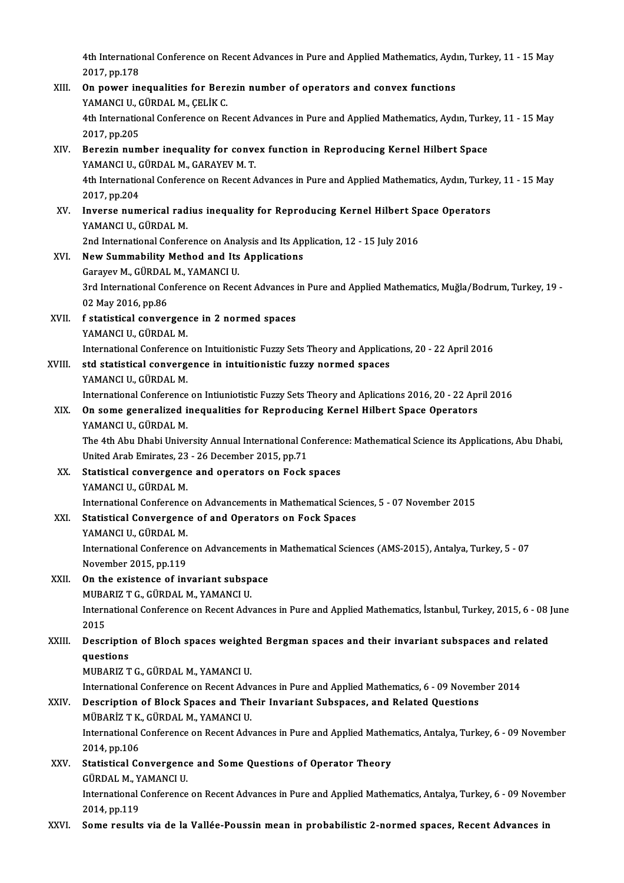4th International Conference on Recent Advances in Pure and Applied Mathematics, Aydın, Turkey, 11 - 15 May<br>2017.nr 179 4th Internatio<br>2017, pp.178<br>On nowen in 4th International Conference on Recent Advances in Pure and Applied Mathematics, Ayd:<br>2017, pp.178<br>XIII. On power inequalities for Berezin number of operators and convex functions<br>XAMANCUL CÜRDAL M. CELIK C.

- 2017, pp.178<br>XIII. On power inequalities for Berezin number of operators and convex functions<br>YAMANCI U., GÜRDAL M., CELİK C. On power inequalities for Berezin number of operators and convex functions<br>YAMANCI U., GÜRDAL M., ÇELİK C.<br>4th International Conference on Recent Advances in Pure and Applied Mathematics, Aydın, Turkey, 11 - 15 May<br>2017.np YAMANCI U., C<br>4th Internatio<br>2017, pp.205<br>Borozin num 4th International Conference on Recent Advances in Pure and Applied Mathematics, Aydın, Turk<br>2017, pp.205<br>XIV. Berezin number inequality for convex function in Reproducing Kernel Hilbert Space<br>XAMANCUL CÜRDAL M. CARAYEV M.
- 2017, pp.205<br>Berezin number inequality for conve<br>YAMANCI U., GÜRDAL M., GARAYEV M. T.<br>4th International Conference on Becent A Berezin number inequality for convex function in Reproducing Kernel Hilbert Space<br>YAMANCI U., GÜRDAL M., GARAYEV M. T.<br>4th International Conference on Recent Advances in Pure and Applied Mathematics, Aydın, Turkey, 11 - 15 YAMANCI U., C<br>4th Internatio<br>2017, pp.204<br>Inverse num 4th International Conference on Recent Advances in Pure and Applied Mathematics, Aydın, Turke<br>2017, pp.204<br>XV. Inverse numerical radius inequality for Reproducing Kernel Hilbert Space Operators<br>XAMANCLU, CÜPDALM
- 2017, pp.204<br>Inverse numerical rad<br>YAMANCI U., GÜRDAL M.<br>2nd International Confor Inverse numerical radius inequality for Reproducing Kernel Hilbert Sp<br>YAMANCI U., GÜRDAL M.<br>2nd International Conference on Analysis and Its Application, 12 - 15 July 2016<br>Naw Summability Mathod and Its Applications

- YAMANCI U., GÜRDAL M.<br>2nd International Conference on Analysis and Its Applications<br>XVI. New Summability Method and Its Applications<br>Consusu M. GÜRDAL M. YAMANCUU 2nd International Conference on Ana<br>New Summability Method and Its<br>Garayev M., GÜRDAL M., YAMANCI U.<br><sup>2nd International Conference on Bess</sup> 3rd International Conference on Recent Advances in Pure and Applied Mathematics, Muğla/Bodrum, Turkey, 19 -<br>02 May 2016, pp.86 Garayev M., GÜRDAL M., YAMANCI U. 3rd International Conference on Recent Advances<br>02 May 2016, pp.86<br>XVII. f statistical convergence in 2 normed spaces<br>XAMANGUL CÜRDAL M
- 02 May 2016, pp.86<br>f statistical convergen<br>YAMANCI U., GÜRDAL M.<br>International Conference International Conference in 2 normed spaces<br>International Conference on Intuitionistic Fuzzy Sets Theory and Applications, 20 - 22 April 2016<br>atd statistical convergence in intuitionistic fuzzy normed spaces

YAMANCI U., GÜRDAL M.<br>International Conference on Intuitionistic Fuzzy Sets Theory and Applicat<br>XVIII. std statistical convergence in intuitionistic fuzzy normed spaces<br>XAMANCLU, CÜRDAL M International Conference<br>std statistical converge<br>YAMANCI U., GÜRDAL M.<br>International Conference International Conference on Intuitionistic fuzzy normed spaces<br>International Conference on Intiuniotistic Fuzzy Sets Theory and Aplications 2016, 20 - 22 April 2016<br>International Conference on Intiuniotistic Fuzzy Sets The

## YAMANCI U., GÜRDAL M.<br>International Conference on Intiuniotistic Fuzzy Sets Theory and Aplications 2016, 20 - 22 Aproxy<br>XIX. On some generalized inequalities for Reproducing Kernel Hilbert Space Operators<br>XAMANCUL CÜRDAL M International Conference<br>On some generalized i<br>YAMANCI U., GÜRDAL M.<br>The 4th Abu Dhebi Unive

On some generalized inequalities for Reproducing Kernel Hilbert Space Operators<br>YAMANCI U., GÜRDAL M.<br>The 4th Abu Dhabi University Annual International Conference: Mathematical Science its Applications, Abu Dhabi,<br>United A YAMANCI U., GÜRDAL M.<br>The 4th Abu Dhabi University Annual International Co<br>United Arab Emirates, 23 - 26 December 2015, pp.71<br>Statistical convergence and onerators on Fock United Arab Emirates, 23 - 26 December 2015, pp.71

XX. Statistical convergence and operators on Fock spaces YAMANCI U., GÜRDAL M. Statistical convergence and operators on Fock spaces<br>YAMANCI U., GÜRDAL M.<br>International Conference on Advancements in Mathematical Sciences, 5 - 07 November 2015<br>Statistical Convergence of and Operators on Fock Spaces.

### XXI. Statistical Convergence of and Operators on Fock Spaces<br>YAMANCI U., GÜRDAL M. International Conference<br>Statistical Convergenc<br>YAMANCI U., GÜRDAL M.<br>International Conference

Statistical Convergence of and Operators on Fock Spaces<br>YAMANCI U., GÜRDAL M.<br>International Conference on Advancements in Mathematical Sciences (AMS-2015), Antalya, Turkey, 5 - 07<br>Navamber 2015, pp.119. YAMANCI U., GÜRDAL M.<br>International Conference<br>November 2015, pp.119<br>On the existence of int International Conference on Advancements<br>November 2015, pp.119<br>XXII. On the existence of invariant subspace<br>MIBARIZ T.C. CURDAL M. VAMANCLU

November 2015, pp.119<br>On the existence of invariant subspace<br>MUBARIZ T G., GÜRDAL M., YAMANCI U.

On the existence of invariant subspace<br>MUBARIZ T G., GÜRDAL M., YAMANCI U.<br>International Conference on Recent Advances in Pure and Applied Mathematics, İstanbul, Turkey, 2015, 6 - 08 June MUBA<br>Intern<br>2015<br>Deser International Conference on Recent Advances in Pure and Applied Mathematics, İstanbul, Turkey, 2015, 6 - 08 |<br>2015<br>XXIII. Description of Bloch spaces weighted Bergman spaces and their invariant subspaces and related<br>august

## 2015<br>Descriptio<br>questions<br>MUPAPIZ T questions<br>MUBARIZ T G., GÜRDAL M., YAMANCI U.

International Conference on Recent Advances in Pure and Applied Mathematics, 6 - 09 November 2014

## MUBARIZ T G., GÜRDAL M., YAMANCI U.<br>International Conference on Recent Advances in Pure and Applied Mathematics, 6 - 09 Novem<br>XXIV. Description of Block Spaces and Their Invariant Subspaces, and Related Questions<br>MÜRARIZ T International Conference on Recent Adv<br>Description of Block Spaces and Th<br>MÜBARİZ T K., GÜRDAL M., YAMANCI U.<br>International Conference on Becent Adv

Description of Block Spaces and Their Invariant Subspaces, and Related Questions<br>MÜBARİZ T K., GÜRDAL M., YAMANCI U.<br>International Conference on Recent Advances in Pure and Applied Mathematics, Antalya, Turkey, 6 - 09 Nove MÜBARİZ T K., GÜRDAL M., YAMANCI U.<br>International Conference on Recent Advances in Pure and Applied Mathematics, Antalya, Turkey, 6 - 09 November<br>2014, pp.106 International Conference on Recent Advances in Pure and Applied Mather<br>2014, pp.106<br>XXV. Statistical Convergence and Some Questions of Operator Theory<br>CUPDAL M. VAMANCLU

2014, pp.106<br>Statistical Convergenc<br>GÜRDAL M., YAMANCI U.<br>International Conference GÜRDAL M., YAMANCI U

International Conference on Recent Advances in Pure and Applied Mathematics, Antalya, Turkey, 6 - 09 November 2014, pp.119

XXVI. Some results via de la Vallée-Poussin mean in probabilistic 2-normed spaces, Recent Advances in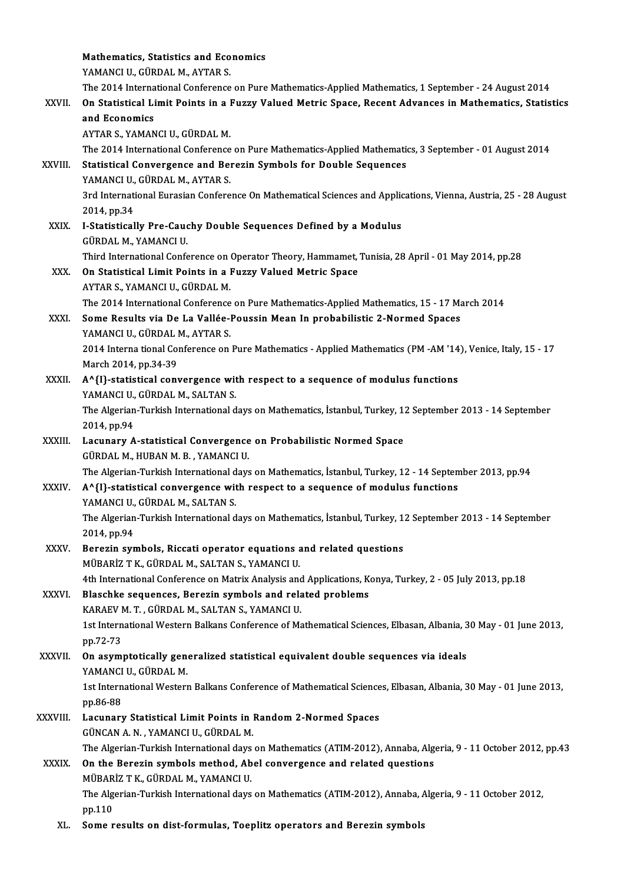|               | Mathematics, Statistics and Economics                                                                                                                                                    |
|---------------|------------------------------------------------------------------------------------------------------------------------------------------------------------------------------------------|
|               | YAMANCI U., GÜRDAL M., AYTAR S.                                                                                                                                                          |
|               | The 2014 International Conference on Pure Mathematics-Applied Mathematics, 1 September - 24 August 2014                                                                                  |
| XXVII.        | On Statistical Limit Points in a Fuzzy Valued Metric Space, Recent Advances in Mathematics, Statistics                                                                                   |
|               | and Economics                                                                                                                                                                            |
|               | AYTAR S., YAMANCI U., GÜRDAL M.                                                                                                                                                          |
|               | The 2014 International Conference on Pure Mathematics-Applied Mathematics, 3 September - 01 August 2014                                                                                  |
| XXVIII.       | Statistical Convergence and Berezin Symbols for Double Sequences                                                                                                                         |
|               | YAMANCI U., GÜRDAL M., AYTAR S.                                                                                                                                                          |
|               | 3rd International Eurasian Conference On Mathematical Sciences and Applications, Vienna, Austria, 25 - 28 August                                                                         |
|               | 2014, pp.34                                                                                                                                                                              |
| XXIX.         | I-Statistically Pre-Cauchy Double Sequences Defined by a Modulus                                                                                                                         |
|               | GÜRDAL M., YAMANCI U.<br>Third International Conference on Operator Theory, Hammamet, Tunisia, 28 April - 01 May 2014, pp.28                                                             |
| XXX.          | On Statistical Limit Points in a Fuzzy Valued Metric Space                                                                                                                               |
|               | AYTAR S., YAMANCI U., GÜRDAL M.                                                                                                                                                          |
|               | The 2014 International Conference on Pure Mathematics-Applied Mathematics, 15 - 17 March 2014                                                                                            |
| XXXI.         | Some Results via De La Vallée-Poussin Mean In probabilistic 2-Normed Spaces                                                                                                              |
|               | YAMANCI U., GÜRDAL M., AYTAR S.                                                                                                                                                          |
|               | 2014 Interna tional Conference on Pure Mathematics - Applied Mathematics (PM -AM '14), Venice, Italy, 15 - 17                                                                            |
|               | March 2014, pp.34-39                                                                                                                                                                     |
| XXXII.        | A^{I}-statistical convergence with respect to a sequence of modulus functions                                                                                                            |
|               | YAMANCI U., GÜRDAL M., SALTAN S.                                                                                                                                                         |
|               | The Algerian-Turkish International days on Mathematics, İstanbul, Turkey, 12 September 2013 - 14 September                                                                               |
|               | 2014, pp 94                                                                                                                                                                              |
| <b>XXXIII</b> | Lacunary A-statistical Convergence on Probabilistic Normed Space                                                                                                                         |
|               | GÜRDAL M, HUBAN M B, YAMANCI U.                                                                                                                                                          |
| <b>XXXIV</b>  | The Algerian-Turkish International days on Mathematics, İstanbul, Turkey, 12 - 14 September 2013, pp.94<br>A^{I}-statistical convergence with respect to a sequence of modulus functions |
|               | YAMANCI U., GÜRDAL M., SALTAN S.                                                                                                                                                         |
|               | The Algerian-Turkish International days on Mathematics, İstanbul, Turkey, 12 September 2013 - 14 September                                                                               |
|               | 2014, pp 94                                                                                                                                                                              |
| XXXV.         | Berezin symbols, Riccati operator equations and related questions                                                                                                                        |
|               | MÜBARİZ T K., GÜRDAL M., SALTAN S., YAMANCI U.                                                                                                                                           |
|               | 4th International Conference on Matrix Analysis and Applications, Konya, Turkey, 2 - 05 July 2013, pp.18                                                                                 |
| XXXVI.        | Blaschke sequences, Berezin symbols and related problems                                                                                                                                 |
|               | KARAEV M. T., GÜRDAL M., SALTAN S., YAMANCI U.                                                                                                                                           |
|               | 1st International Western Balkans Conference of Mathematical Sciences, Elbasan, Albania, 30 May - 01 June 2013,                                                                          |
|               | pp 72-73                                                                                                                                                                                 |
| <b>XXXVII</b> | On asymptotically generalized statistical equivalent double sequences via ideals                                                                                                         |
|               | YAMANCI U., GÜRDAL M.                                                                                                                                                                    |
|               | 1st International Western Balkans Conference of Mathematical Sciences, Elbasan, Albania, 30 May - 01 June 2013,<br>pp 86-88                                                              |
| XXXVIII.      | Lacunary Statistical Limit Points in Random 2-Normed Spaces                                                                                                                              |
|               | GÜNCAN A. N., YAMANCI U., GÜRDAL M.                                                                                                                                                      |
|               | The Algerian-Turkish International days on Mathematics (ATIM-2012), Annaba, Algeria, 9 - 11 October 2012, pp.43                                                                          |
| <b>XXXIX</b>  | On the Berezin symbols method, Abel convergence and related questions                                                                                                                    |
|               | MÜBARİZ T K., GÜRDAL M., YAMANCI U.                                                                                                                                                      |
|               | The Algerian-Turkish International days on Mathematics (ATIM-2012), Annaba, Algeria, 9 - 11 October 2012,                                                                                |
|               | pp.110                                                                                                                                                                                   |
| XL.           | Some results on dist-formulas, Toeplitz operators and Berezin symbols                                                                                                                    |
|               |                                                                                                                                                                                          |